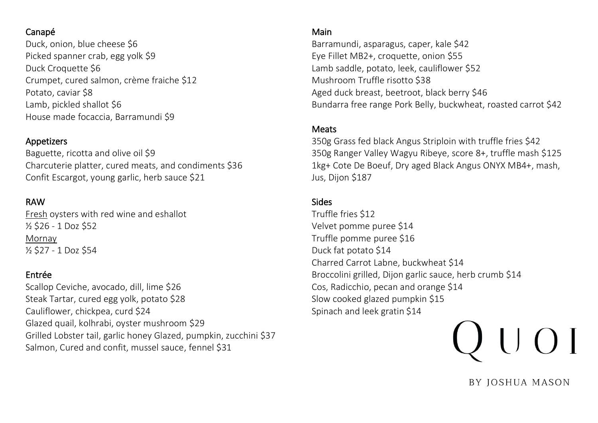## Canapé

Duck, onion, blue cheese \$6 Picked spanner crab, egg yolk \$9 Duck Croquette \$6 Crumpet, cured salmon, crème fraiche \$12 Potato, caviar \$8 Lamb, pickled shallot \$6 House made focaccia, Barramundi \$9

## Appetizers

Baguette, ricotta and olive oil \$9 Charcuterie platter, cured meats, and condiments \$36 Confit Escargot, young garlic, herb sauce \$21

## RAW

Fresh oysters with red wine and eshallot ½ \$26 - 1 Doz \$52 Mornay ½ \$27 - 1 Doz \$54

## Entrée

Scallop Ceviche, avocado, dill, lime \$26 Steak Tartar, cured egg yolk, potato \$28 Cauliflower, chickpea, curd \$24 Glazed quail, kolhrabi, oyster mushroom \$29 Grilled Lobster tail, garlic honey Glazed, pumpkin, zucchini \$37 Salmon, Cured and confit, mussel sauce, fennel \$31

## Main

Barramundi, asparagus, caper, kale \$42 Eye Fillet MB2+, croquette, onion \$55 Lamb saddle, potato, leek, cauliflower \$52 Mushroom Truffle risotto \$38 Aged duck breast, beetroot, black berry \$46 Bundarra free range Pork Belly, buckwheat, roasted carrot \$42

## Meats

350g Grass fed black Angus Striploin with truffle fries \$42 350g Ranger Valley Wagyu Ribeye, score 8+, truffle mash \$125 1kg+ Cote De Boeuf, Dry aged Black Angus ONYX MB4+, mash, Jus, Dijon \$187

## Sides

Truffle fries \$12 Velvet pomme puree \$14 Truffle pomme puree \$16 Duck fat potato \$14 Charred Carrot Labne, buckwheat \$14 Broccolini grilled, Dijon garlic sauce, herb crumb \$14 Cos, Radicchio, pecan and orange \$14 Slow cooked glazed pumpkin \$15 Spinach and leek gratin \$14

# $\bigcup$   $\bigcap$   $\bigcap$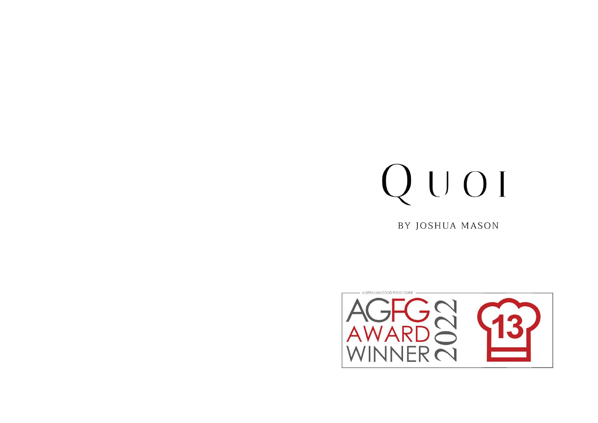## QUOI

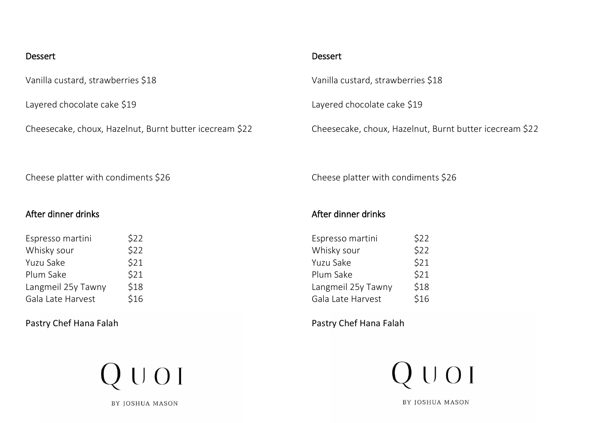#### Dessert

Vanilla custard, strawberries \$18

Layered chocolate cake \$19

Cheesecake, choux, Hazelnut, Burnt butter icecream \$22

#### Dessert

Vanilla custard, strawberries \$18

Layered chocolate cake \$19

Cheesecake, choux, Hazelnut, Burnt butter icecream \$22

Cheese platter with condiments \$26

#### After dinner drinks

| Espresso martini   | \$22 |
|--------------------|------|
| Whisky sour        | \$22 |
| Yuzu Sake          | \$21 |
| Plum Sake          | \$21 |
| Langmeil 25y Tawny | \$18 |
| Gala Late Harvest  | \$16 |
|                    |      |

Pastry Chef Hana Falah



BY JOSHUA MASON

Cheese platter with condiments \$26

## After dinner drinks

| \$22 |
|------|
| \$22 |
| \$21 |
| \$21 |
| \$18 |
| \$16 |
|      |

Pastry Chef Hana Falah

 $Q$   $U$   $O$   $I$